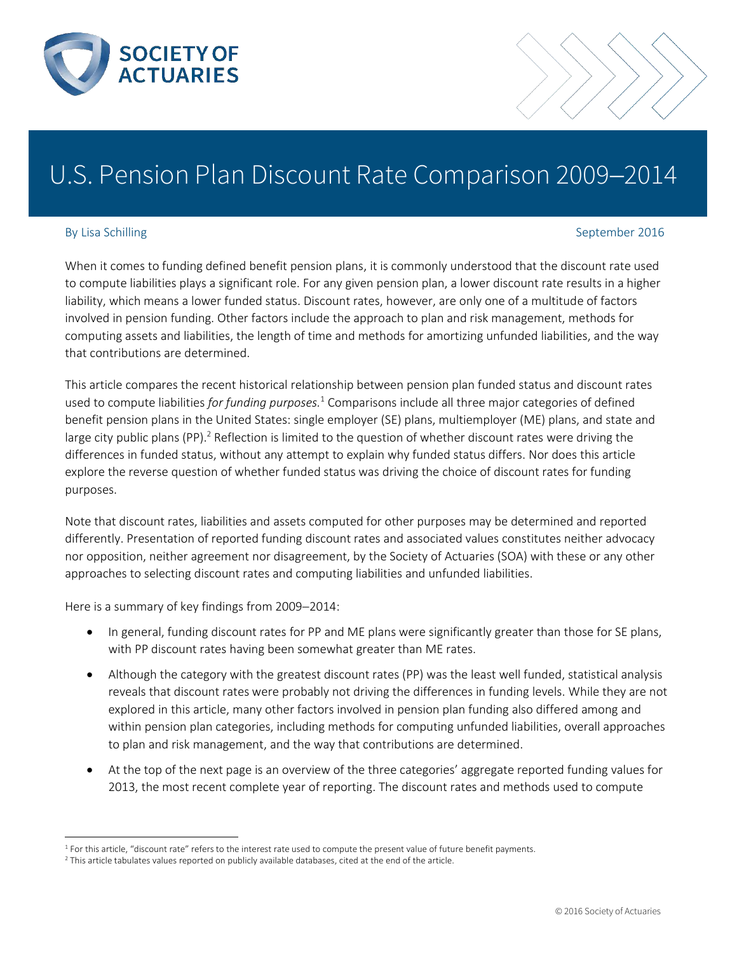

# U.S. Pension Plan Discount Rate Comparison 2009-2014

 $\overline{a}$ 

## By Lisa Schilling September 2016

When it comes to funding defined benefit pension plans, it is commonly understood that the discount rate used to compute liabilities plays a significant role. For any given pension plan, a lower discount rate results in a higher liability, which means a lower funded status. Discount rates, however, are only one of a multitude of factors involved in pension funding. Other factors include the approach to plan and risk management, methods for computing assets and liabilities, the length of time and methods for amortizing unfunded liabilities, and the way that contributions are determined.

<span id="page-0-0"></span>This article compares the recent historical relationship between pension plan funded status and discount rates used to compute liabilities *for funding purposes.*<sup>1</sup> Comparisons include all three major categories of defined benefit pension plans in the United States: single employer (SE) plans, multiemployer (ME) plans, and state and large city public plans (PP).<sup>2</sup> Reflection is limited to the question of whether discount rates were driving the differences in funded status, without any attempt to explain why funded status differs. Nor does this article explore the reverse question of whether funded status was driving the choice of discount rates for funding purposes.

Note that discount rates, liabilities and assets computed for other purposes may be determined and reported differently. Presentation of reported funding discount rates and associated values constitutes neither advocacy nor opposition, neither agreement nor disagreement, by the Society of Actuaries (SOA) with these or any other approaches to selecting discount rates and computing liabilities and unfunded liabilities.

Here is a summary of key findings from 2009-2014:

- In general, funding discount rates for PP and ME plans were significantly greater than those for SE plans, with PP discount rates having been somewhat greater than ME rates.
- Although the category with the greatest discount rates (PP) was the least well funded, statistical analysis reveals that discount rates were probably not driving the differences in funding levels. While they are not explored in this article, many other factors involved in pension plan funding also differed among and within pension plan categories, including methods for computing unfunded liabilities, overall approaches to plan and risk management, and the way that contributions are determined.
- At the top of the next page is an overview of the three categories' aggregate reported funding values for 2013, the most recent complete year of reporting. The discount rates and methods used to compute

<sup>&</sup>lt;sup>1</sup> For this article, "discount rate" refers to the interest rate used to compute the present value of future benefit payments.

<sup>2</sup> This article tabulates values reported on publicly available databases, cited at the end of the article.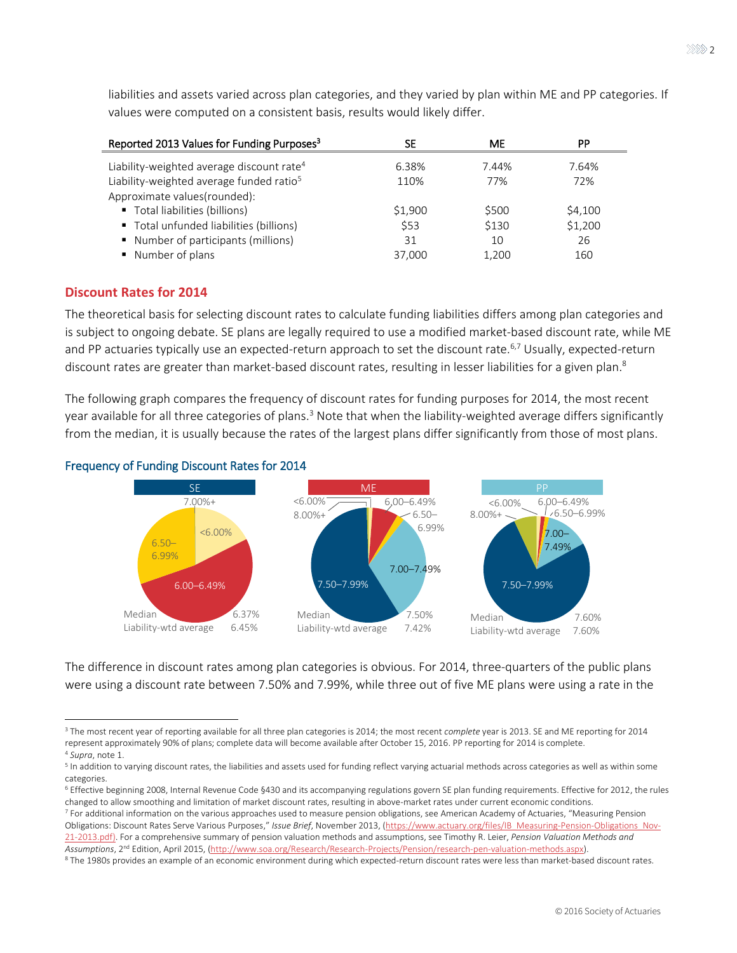<span id="page-1-0"></span>

| Reported 2013 Values for Funding Purposes <sup>3</sup> | SE      | МE    | PP      |
|--------------------------------------------------------|---------|-------|---------|
| Liability-weighted average discount rate <sup>4</sup>  | 6.38%   | 7.44% | 7.64%   |
| Liability-weighted average funded ratio <sup>5</sup>   | 110%    | 77%   | 72%     |
| Approximate values(rounded):                           |         |       |         |
| Total liabilities (billions)                           | \$1,900 | \$500 | \$4,100 |
| " Total unfunded liabilities (billions)                | \$53    | \$130 | \$1,200 |
| ■ Number of participants (millions)                    | 31      | 10    | 26      |
| ■ Number of plans                                      | 37,000  | 1.200 | 160     |

liabilities and assets varied across plan categories, and they varied by plan within ME and PP categories. If values were computed on a consistent basis, results would likely differ.

#### **Discount Rates for 2014**

The theoretical basis for selecting discount rates to calculate funding liabilities differs among plan categories and is subject to ongoing debate. SE plans are legally required to use a modified market-based discount rate, while ME and PP actuaries typically use an expected-return approach to set the discount rate.<sup>6,7</sup> Usually, expected-return discount rates are greater than market-based discount rates, resulting in lesser liabilities for a given plan.<sup>8</sup>

The following graph compares the frequency of discount rates for funding purposes for 2014, the most recent yearavailable for all three categories of plans.<sup>3</sup> Note that when the liability-weighted average differs significantly from the median, it is usually because the rates of the largest plans differ significantly from those of most plans.



<span id="page-1-1"></span>

The difference in discount rates among plan categories is obvious. For 2014, three-quarters of the public plans were using a discount rate between 7.50% and 7.99%, while three out of five ME plans were using a rate in the

<sup>3</sup> The most recent year of reporting available for all three plan categories is 2014; the most recent *complete* year is 2013. SE and ME reporting for 2014 represent approximately 90% of plans; complete data will become available after October 15, 2016. PP reporting for 2014 is complete. <sup>4</sup> *Supra*, not[e 1.](#page-0-0) 

 $^5$  In addition to varying discount rates, the liabilities and assets used for funding reflect varying actuarial methods across categories as well as within some categories.

<sup>6</sup> Effective beginning 2008, Internal Revenue Code §430 and its accompanying regulations govern SE plan funding requirements. Effective for 2012, the rules changed to allow smoothing and limitation of market discount rates, resulting in above-market rates under current economic conditions.

<sup>7</sup> For additional information on the various approaches used to measure pension obligations, see American Academy of Actuaries, "Measuring Pension Obligations: Discount Rates Serve Various Purposes," *Issue Brief*, November 2013, [\(https://www.actuary.org/files/IB\\_Measuring-Pension-Obligations\\_Nov-](https://www.actuary.org/files/IB_Measuring-Pension-Obligations_Nov-21-2013.pdf)[21-2013.pdf\)](https://www.actuary.org/files/IB_Measuring-Pension-Obligations_Nov-21-2013.pdf). For a comprehensive summary of pension valuation methods and assumptions, see Timothy R. Leier, *Pension Valuation Methods and*  Assumptions, 2<sup>nd</sup> Edition, April 2015, (<u>http://www.soa.org/Research/Research-Projects/Pension/research-pen-valuation-methods.aspx)</u>.

<sup>8</sup> The 1980s provides an example of an economic environment during which expected-return discount rates were less than market-based discount rates.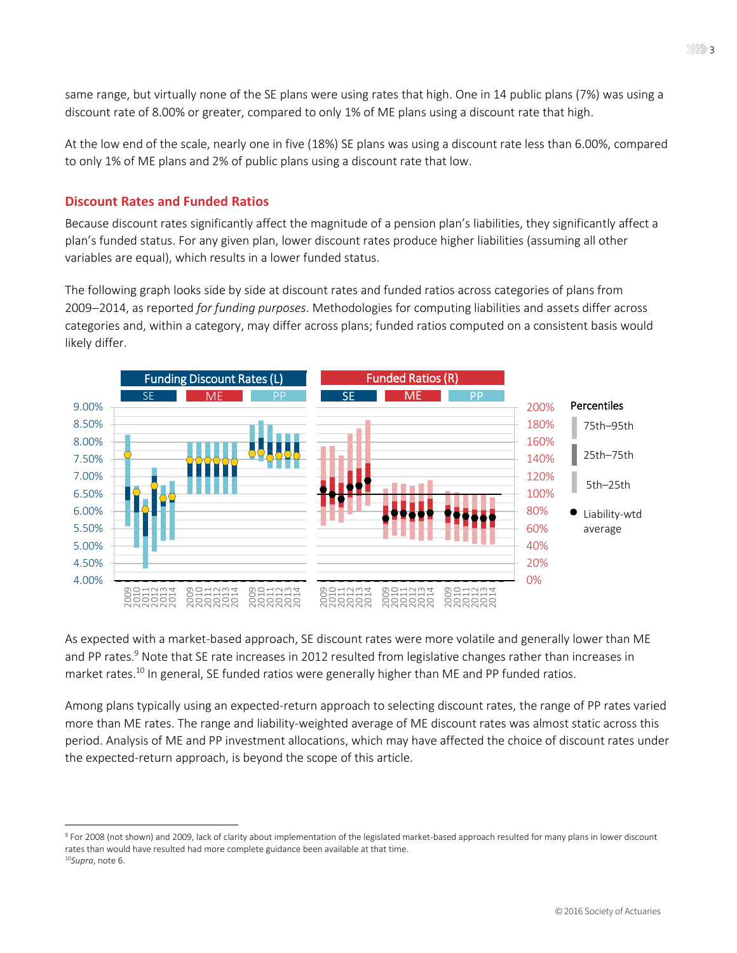same range, but virtually none of the SE plans were using rates that high. One in 14 public plans (7%) was using a discount rate of 8.00% or greater, compared to only 1% of ME plans using a discount rate that high.

At the low end of the scale, nearly one in five (18%) SE plans was using a discount rate less than 6.00%, compared to only 1% of ME plans and 2% of public plans using a discount rate that low.

#### **Discount Rates and Funded Ratios**

 $\overline{a}$ 

Because discount rates significantly affect the magnitude of a pension plan's liabilities, they significantly affect a plan's funded status. For any given plan, lower discount rates produce higher liabilities (assuming all other variables are equal), which results in a lower funded status.

The following graph looks side by side at discount rates and funded ratios across categories of plans from 2009-2014, as reported *for funding purposes*. Methodologies for computing liabilities and assets differ across categories and, within a category, may differ across plans; funded ratios computed on a consistent basis would likely differ.



As expected with a market-based approach, SE discount rates were more volatile and generally lower than ME and PP rates.<sup>9</sup> Note that SE rate increases in 2012 resulted from legislative changes rather than increases in market rates.<sup>10</sup> In general, SE funded ratios were generally higher than ME and PP funded ratios.

Among plans typically using an expected-return approach to selecting discount rates, the range of PP rates varied more than ME rates. The range and liability-weighted average of ME discount rates was almost static across this period. Analysis of ME and PP investment allocations, which may have affected the choice of discount rates under the expected-return approach, is beyond the scope of this article.

<sup>9</sup> For 2008 (not shown) and 2009, lack of clarity about implementation of the legislated market-based approach resulted for many plans in lower discount rates than would have resulted had more complete guidance been available at that time. <sup>10</sup>*Supra*, not[e 6.](#page-1-1)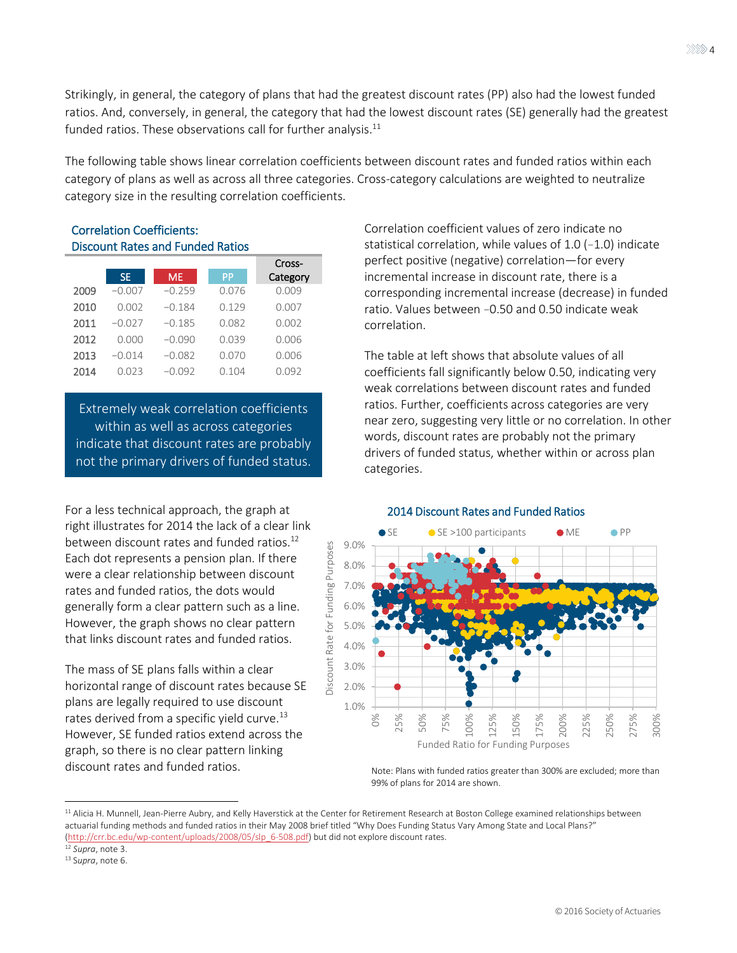Strikingly, in general, the category of plans that had the greatest discount rates (PP) also had the lowest funded ratios. And, conversely, in general, the category that had the lowest discount rates (SE) generally had the greatest funded ratios. These observations call for further analysis. $^{11}$ 

The following table shows linear correlation coefficients between discount rates and funded ratios within each category of plans as well as across all three categories. Cross-category calculations are weighted to neutralize category size in the resulting correlation coefficients.

#### Correlation Coefficients: Discount Rates and Funded Ratios

|      |          |           |       | Cross-   |
|------|----------|-----------|-------|----------|
|      | SE.      | <b>ME</b> | PP    | Category |
| 2009 | $-0.007$ | $-0.259$  | 0.076 | 0.009    |
| 2010 | 0.002    | $-0.184$  | 0.129 | 0.007    |
| 2011 | $-0.027$ | $-0.185$  | 0.082 | 0.002    |
| 2012 | 0.000    | $-0.090$  | 0.039 | 0.006    |
| 2013 | $-0.014$ | $-0.082$  | 0.070 | 0.006    |
| 2014 | 0.023    | $-0.092$  | 0.104 | 0.092    |

Extremely weak correlation coefficients within as well as across categories indicate that discount rates are probably not the primary drivers of funded status.

For a less technical approach, the graph at right illustrates for 2014 the lack of a clear link between discount rates and funded ratios.<sup>12</sup> Each dot represents a pension plan. If there were a clear relationship between discount rates and funded ratios, the dots would generally form a clear pattern such as a line. However, the graph shows no clear pattern that links discount rates and funded ratios.

The mass of SE plans falls within a clear horizontal range of discount rates because SE plans are legally required to use discount rates derived from a specific yield curve.<sup>13</sup> However, SE funded ratios extend across the graph, so there is no clear pattern linking discount rates and funded ratios. The Note: Plans with funded ratios greater than 300% are excluded; more than

Correlation coefficient values of zero indicate no statistical correlation, while values of 1.0 (−1.0) indicate perfect positive (negative) correlation―for every incremental increase in discount rate, there is a corresponding incremental increase (decrease) in funded ratio. Values between −0.50 and 0.50 indicate weak correlation.

The table at left shows that absolute values of all coefficients fall significantly below 0.50, indicating very weak correlations between discount rates and funded ratios. Further, coefficients across categories are very near zero, suggesting very little or no correlation. In other words, discount rates are probably not the primary drivers of funded status, whether within or across plan categories.



#### 2014 Discount Rates and Funded Ratios

99% of plans for 2014 are shown.

 $\overline{a}$ 

<sup>&</sup>lt;sup>11</sup> Alicia H. Munnell, Jean-Pierre Aubry, and Kelly Haverstick at the Center for Retirement Research at Boston College examined relationships between actuarial funding methods and funded ratios in their May 2008 brief titled "Why Does Funding Status Vary Among State and Local Plans?" [\(http://crr.bc.edu/wp-content/uploads/2008/05/slp\\_6-508.pdf\)](http://crr.bc.edu/wp-content/uploads/2008/05/slp_6-508.pdf) but did not explore discount rates.

<sup>12</sup> *Supra*, not[e 3.](#page-1-0) 

<sup>13</sup> S*upra*, not[e 6.](#page-1-1)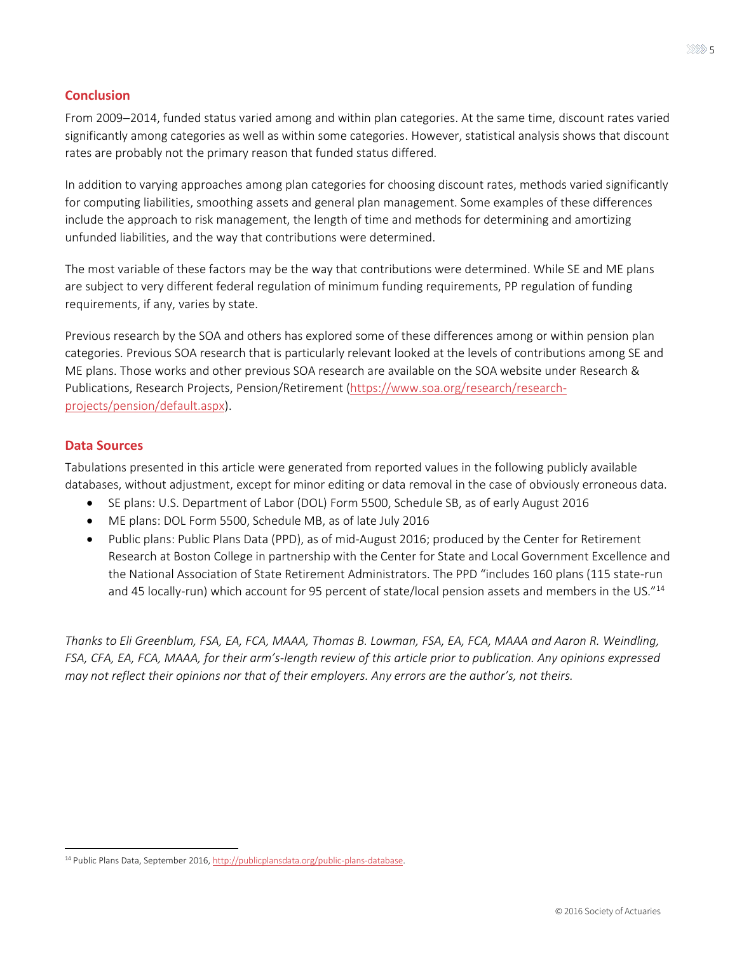### **Conclusion**

From 2009-2014, funded status varied among and within plan categories. At the same time, discount rates varied significantly among categories as well as within some categories. However, statistical analysis shows that discount rates are probably not the primary reason that funded status differed.

In addition to varying approaches among plan categories for choosing discount rates, methods varied significantly for computing liabilities, smoothing assets and general plan management. Some examples of these differences include the approach to risk management, the length of time and methods for determining and amortizing unfunded liabilities, and the way that contributions were determined.

The most variable of these factors may be the way that contributions were determined. While SE and ME plans are subject to very different federal regulation of minimum funding requirements, PP regulation of funding requirements, if any, varies by state.

Previous research by the SOA and others has explored some of these differences among or within pension plan categories. Previous SOA research that is particularly relevant looked at the levels of contributions among SE and ME plans. Those works and other previous SOA research are available on the SOA website under Research & Publications, Research Projects, Pension/Retirement [\(https://www.soa.org/research/research](https://www.soa.org/research/research-projects/pension/default.aspx)[projects/pension/default.aspx\)](https://www.soa.org/research/research-projects/pension/default.aspx).

## **Data Sources**

 $\overline{a}$ 

Tabulations presented in this article were generated from reported values in the following publicly available databases, without adjustment, except for minor editing or data removal in the case of obviously erroneous data.

- SE plans: U.S. Department of Labor (DOL) Form 5500, Schedule SB, as of early August 2016
- ME plans: DOL Form 5500, Schedule MB, as of late July 2016
- Public plans: Public Plans Data (PPD), as of mid-August 2016; produced by the Center for Retirement Research at Boston College in partnership with the Center for State and Local Government Excellence and the National Association of State Retirement Administrators. The PPD "includes 160 plans (115 state-run and 45 locally-run) which account for 95 percent of state/local pension assets and members in the US."<sup>14</sup>

*Thanks to Eli Greenblum, FSA, EA, FCA, MAAA, Thomas B. Lowman, FSA, EA, FCA, MAAA and Aaron R. Weindling, FSA, CFA, EA, FCA, MAAA, for their arm's-length review of this article prior to publication. Any opinions expressed may not reflect their opinions nor that of their employers. Any errors are the author's, not theirs.*

<sup>&</sup>lt;sup>14</sup> Public Plans Data, September 2016, http://publicplansdata.org/public-plans-database.